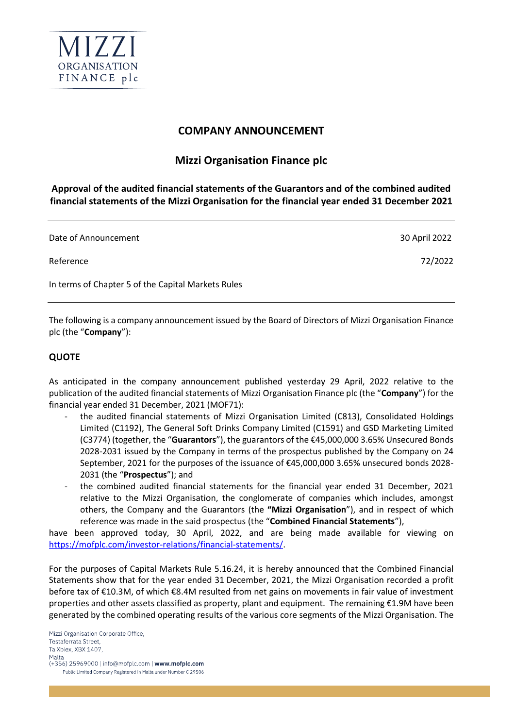

## **COMPANY ANNOUNCEMENT**

## **Mizzi Organisation Finance plc**

**Approval of the audited financial statements of the Guarantors and of the combined audited financial statements of the Mizzi Organisation for the financial year ended 31 December 2021**

| Date of Announcement                               | 30 April 2022 |
|----------------------------------------------------|---------------|
| Reference                                          | 72/2022       |
| In terms of Chapter 5 of the Capital Markets Rules |               |

The following is a company announcement issued by the Board of Directors of Mizzi Organisation Finance plc (the "**Company**"):

## **QUOTE**

As anticipated in the company announcement published yesterday 29 April, 2022 relative to the publication of the audited financial statements of Mizzi Organisation Finance plc (the "**Company**") for the financial year ended 31 December, 2021 (MOF71):

- the audited financial statements of Mizzi Organisation Limited (C813), Consolidated Holdings Limited (C1192), The General Soft Drinks Company Limited (C1591) and GSD Marketing Limited (C3774) (together, the "**Guarantors**"), the guarantors of the €45,000,000 3.65% Unsecured Bonds 2028-2031 issued by the Company in terms of the prospectus published by the Company on 24 September, 2021 for the purposes of the issuance of €45,000,000 3.65% unsecured bonds 2028- 2031 (the "**Prospectus**"); and
- the combined audited financial statements for the financial year ended 31 December, 2021 relative to the Mizzi Organisation, the conglomerate of companies which includes, amongst others, the Company and the Guarantors (the **"Mizzi Organisation**"), and in respect of which reference was made in the said prospectus (the "**Combined Financial Statements**"),

have been approved today, 30 April, 2022, and are being made available for viewing on [https://mofplc.com/investor-relations/financial-statements/.](https://mofplc.com/investor-relations/financial-statements/)

For the purposes of Capital Markets Rule 5.16.24, it is hereby announced that the Combined Financial Statements show that for the year ended 31 December, 2021, the Mizzi Organisation recorded a profit before tax of €10.3M, of which €8.4M resulted from net gains on movements in fair value of investment properties and other assets classified as property, plant and equipment. The remaining €1.9M have been generated by the combined operating results of the various core segments of the Mizzi Organisation. The